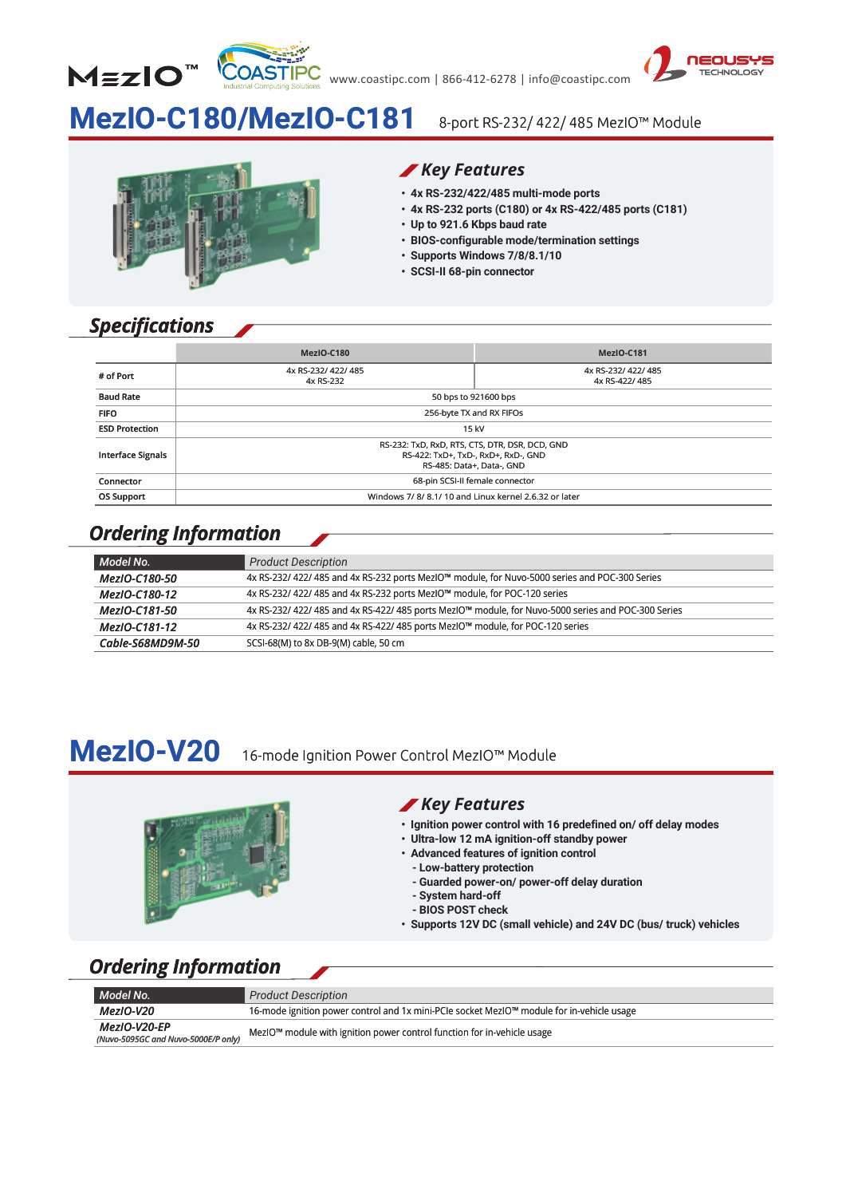



# **MezIO-C180/MezIO-C181**

#### 8-port RS-232/ 422/ 485 MezIO™ Module

#### *Key Features*

- **‧ 4x RS-232/422/485 multi-mode ports**
- **‧ 4x RS-232 ports (C180) or 4x RS-422/485 ports (C181) 4x RS-232 ports (C180) or 4x RS-422/485 ports (C181)**
- **‧ Up to 921.6 Kbps baud rate Up to 921.6 Kbps baud rate**
- BIOS-configurable mode/termination settings<br>• Supports Windows 7/8/8.1/10<br>• SCSI-II 68-pin connector
- **‧ Supports Windows 7/8/8.1/10**
- **‧ SCSI-II 68-pin connector**

|                                                                                                   | Key Features<br>· SCSI-II 68-pin connector                                                                              | · 4x RS-232/422/485 multi-mode ports<br>• 4x RS-232 ports (C180) or 4x RS-422/485 ports (C181)<br>• Up to 921.6 Kbps baud rate<br>· BIOS-configurable mode/termination settings<br>• Supports Windows 7/8/8.1/10 |  |
|---------------------------------------------------------------------------------------------------|-------------------------------------------------------------------------------------------------------------------------|------------------------------------------------------------------------------------------------------------------------------------------------------------------------------------------------------------------|--|
| <b>Specifications</b>                                                                             | MezIO-C180                                                                                                              | MezIO-C181                                                                                                                                                                                                       |  |
| # of Port                                                                                         | 4x RS-232/ 422/ 485                                                                                                     | 4x RS-232/ 422/ 485                                                                                                                                                                                              |  |
|                                                                                                   | 4x RS-232                                                                                                               | 4x RS-422/485                                                                                                                                                                                                    |  |
| <b>Baud Rate</b>                                                                                  |                                                                                                                         | 50 bps to 921600 bps                                                                                                                                                                                             |  |
| <b>FIFO</b>                                                                                       |                                                                                                                         | 256-byte TX and RX FIFOs                                                                                                                                                                                         |  |
| <b>ESD Protection</b>                                                                             | 15 kV                                                                                                                   |                                                                                                                                                                                                                  |  |
| <b>Interface Signals</b>                                                                          | RS-422: TxD+, TxD-, RxD+, RxD-, GND<br>RS-485: Data+, Data-, GND                                                        | RS-232: TxD, RxD, RTS, CTS, DTR, DSR, DCD, GND                                                                                                                                                                   |  |
| Connector                                                                                         | 68-pin SCSI-II female connector                                                                                         |                                                                                                                                                                                                                  |  |
| <b>OS Support</b>                                                                                 |                                                                                                                         | Windows 7/8/8.1/10 and Linux kernel 2.6.32 or later                                                                                                                                                              |  |
| Ordering Information                                                                              | <b>Product Description</b>                                                                                              |                                                                                                                                                                                                                  |  |
|                                                                                                   |                                                                                                                         |                                                                                                                                                                                                                  |  |
|                                                                                                   | 4x RS-232/ 422/ 485 and 4x RS-232 ports MezIO™ module, for Nuvo-5000 series and POC-300 Series                          |                                                                                                                                                                                                                  |  |
|                                                                                                   | 4x RS-232/ 422/ 485 and 4x RS-232 ports MezIO™ module, for POC-120 series                                               |                                                                                                                                                                                                                  |  |
|                                                                                                   | 4x RS-232/ 422/ 485 and 4x RS-422/ 485 ports MezIO™ module, for Nuvo-5000 series and POC-300 Series                     |                                                                                                                                                                                                                  |  |
| Model No.<br>MezIO-C180-50<br>MezIO-C180-12<br>MezIO-C181-50<br>MezIO-C181-12<br>Cable-S68MD9M-50 | 4x RS-232/ 422/ 485 and 4x RS-422/ 485 ports MezIO™ module, for POC-120 series<br>SCSI-68(M) to 8x DB-9(M) cable, 50 cm |                                                                                                                                                                                                                  |  |

### *Ordering Information*

| Model No.        | <b>Product Description</b>                                                                          |
|------------------|-----------------------------------------------------------------------------------------------------|
| MezIO-C180-50    | 4x RS-232/ 422/ 485 and 4x RS-232 ports MezIO™ module, for Nuvo-5000 series and POC-300 Series      |
| MezIO-C180-12    | 4x RS-232/ 422/ 485 and 4x RS-232 ports MezIO™ module, for POC-120 series                           |
| MezIO-C181-50    | 4x RS-232/ 422/ 485 and 4x RS-422/ 485 ports MezIO™ module, for Nuvo-5000 series and POC-300 Series |
| MezIO-C181-12    | 4x RS-232/ 422/ 485 and 4x RS-422/ 485 ports MezIO™ module, for POC-120 series                      |
| Cable-S68MD9M-50 | SCSI-68(M) to 8x DB-9(M) cable, 50 cm                                                               |

16-mode Ignition Power Control MezIO™ Module

# **MezIO-V20**



### *Key Features*

- **‧ Ignition power control with 16 predefined on/ off delay modes Ignition power control with 16 predefined on/ off delay modes**
- **‧ Ultra-low 12 mA ignition-off standby power Ultra-low 12 mA ignition-off standby power**
- **‧ Advanced features of ignition control Advanced features of ignition control**
	- **Low-battery protection**
	- **Guarded power-on/ power-off delay duration**
	- **System hard-off**
	- **- BIOS POST check**
- **-** Low-battery protection<br>
Guarded power-on/ power-off delay duration<br>
System hard-off<br>
BIOS POST check<br>
Supports 12V DC (small vehicle) and 24V DC (bus/ truck) vehicles

# *Ordering Information*

| Model No.                                                  | <b>Product Description</b>                                                                |
|------------------------------------------------------------|-------------------------------------------------------------------------------------------|
| MezIO-V20                                                  | 16-mode ignition power control and 1x mini-PCIe socket MezIO™ module for in-vehicle usage |
| <b>MezIO-V20-EP</b><br>(Nuvo-5095GC and Nuvo-5000E/P only) | MezIO™ module with ignition power control function for in-vehicle usage                   |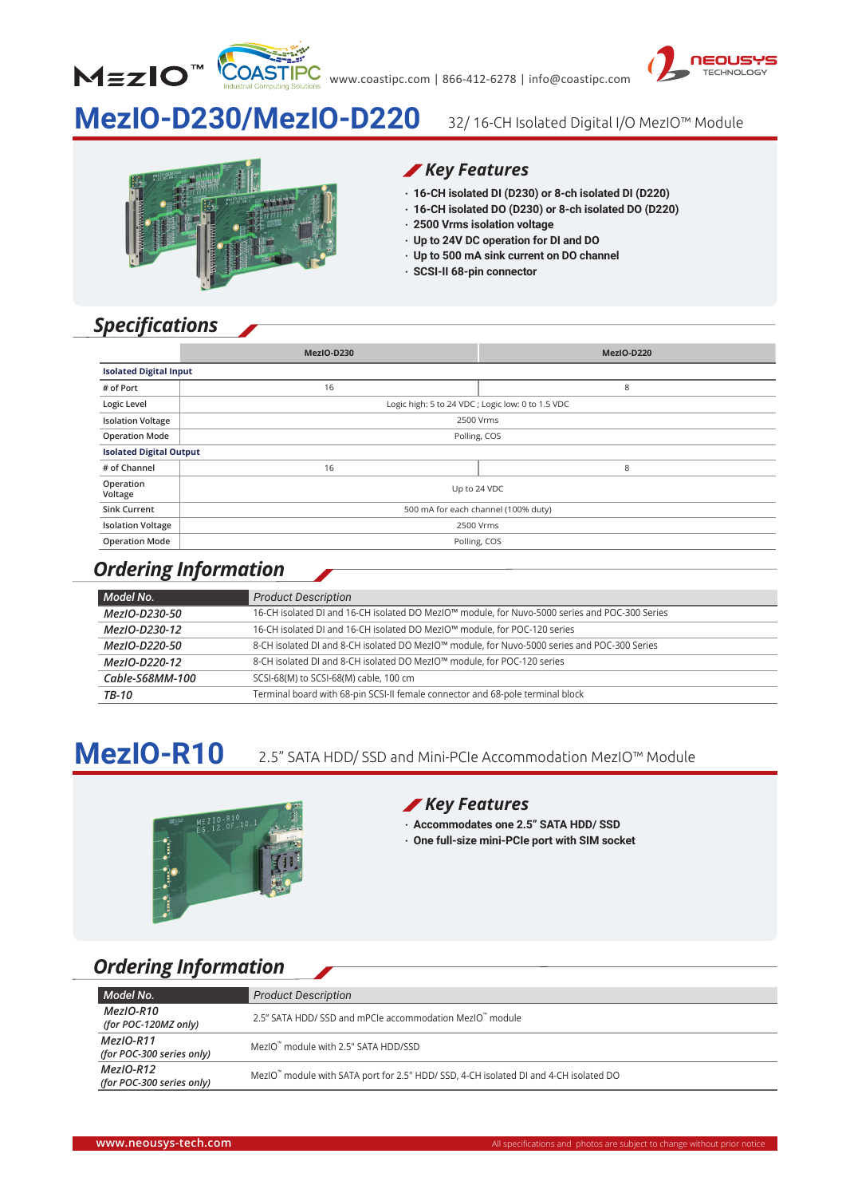



# **MezIO-D230/MezIO-D220**

32/ 16-CH Isolated Digital I/O MezIO™ Module



### *Key Features*

- **‧ 16-CH isolated DI (D230) or 8-ch isolated DI (D220)**
- **‧ 16-CH isolated DO (D230) or 8-ch isolated DO (D220)**
- **‧ 2500 Vrms isolation voltage**
- **‧ Up to 24V DC operation for DI and DO**
- **‧ Up to 500 mA sink current on DO channel**
- **‧ SCSI-II 68-pin connector**

# *Specifications*

|                                | MezIO-D230                                       | MezIO-D220 |
|--------------------------------|--------------------------------------------------|------------|
| <b>Isolated Digital Input</b>  |                                                  |            |
| # of Port                      | 16                                               | 8          |
| Logic Level                    | Logic high: 5 to 24 VDC; Logic low: 0 to 1.5 VDC |            |
| <b>Isolation Voltage</b>       | 2500 Vrms                                        |            |
| <b>Operation Mode</b>          | Polling, COS                                     |            |
| <b>Isolated Digital Output</b> |                                                  |            |
| # of Channel                   | 16                                               | 8          |
| Operation<br>Voltage           | Up to 24 VDC                                     |            |
| <b>Sink Current</b>            | 500 mA for each channel (100% duty)              |            |
| <b>Isolation Voltage</b>       | 2500 Vrms                                        |            |
| <b>Operation Mode</b>          | Polling, COS                                     |            |

### *Ordering Information*

| Model No.       | <b>Product Description</b>                                                                     |
|-----------------|------------------------------------------------------------------------------------------------|
| MezIO-D230-50   | 16-CH isolated DI and 16-CH isolated DO MezIO™ module, for Nuvo-5000 series and POC-300 Series |
| MezIO-D230-12   | 16-CH isolated DI and 16-CH isolated DO MezIO™ module, for POC-120 series                      |
| MezIO-D220-50   | 8-CH isolated DI and 8-CH isolated DO MezIO™ module, for Nuvo-5000 series and POC-300 Series   |
| MezIO-D220-12   | 8-CH isolated DI and 8-CH isolated DO MezIO™ module, for POC-120 series                        |
| Cable-S68MM-100 | SCSI-68(M) to SCSI-68(M) cable, 100 cm                                                         |
| TB-10           | Terminal board with 68-pin SCSI-II female connector and 68-pole terminal block                 |

#### **MezIO-R10** 2.5" SATA HDD/ SSD and Mini-PCIe Accommodation MezIO™ Module



### *Key Features*

- **‧ Accommodates one 2.5" SATA HDD/ SSD**
- **‧ One full-size mini-PCIe port with SIM socket**

## *Ordering Information*

| Model No.                                 | <b>Product Description</b>                                                            |
|-------------------------------------------|---------------------------------------------------------------------------------------|
| $Mez$ IO-R10<br>(for POC-120MZ only)      | 2.5" SATA HDD/ SSD and mPCIe accommodation MezIO" module                              |
| $Mez$ IO-R11<br>(for POC-300 series only) | MezIO <sup>"</sup> module with 2.5" SATA HDD/SSD                                      |
| $Mez$ IO-R12<br>(for POC-300 series only) | MezIO" module with SATA port for 2.5" HDD/ SSD, 4-CH isolated DI and 4-CH isolated DO |